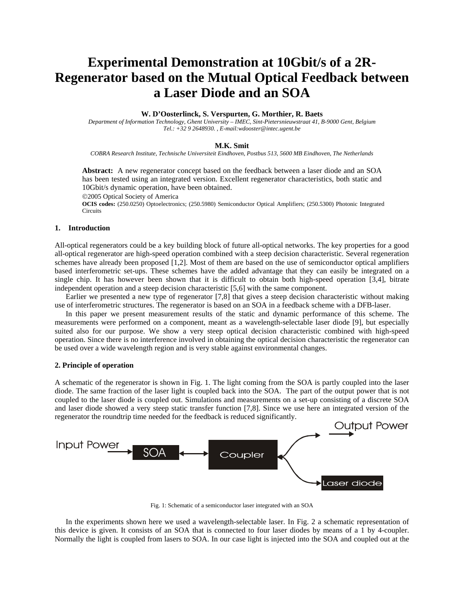# **Experimental Demonstration at 10Gbit/s of a 2R-Regenerator based on the Mutual Optical Feedback between a Laser Diode and an SOA**

## **W. D'Oosterlinck, S. Verspurten, G. Morthier, R. Baets**

*Department of Information Technology, Ghent University – IMEC, Sint-Pietersnieuwstraat 41, B-9000 Gent, Belgium Tel.: +32 9 2648930. , E-mail:wdooster@intec.ugent.be*

#### **M.K. Smit**

*COBRA Research Institute, Technische Universiteit Eindhoven, Postbus 513, 5600 MB Eindhoven, The Netherlands*

**Abstract:** A new regenerator concept based on the feedback between a laser diode and an SOA has been tested using an integrated version. Excellent regenerator characteristics, both static and 10Gbit/s dynamic operation, have been obtained.

©2005 Optical Society of America

**OCIS codes:** (250.0250) Optoelectronics; (250.5980) Semiconductor Optical Amplifiers; (250.5300) Photonic Integrated **Circuits** 

#### **1. Introduction**

All-optical regenerators could be a key building block of future all-optical networks. The key properties for a good all-optical regenerator are high-speed operation combined with a steep decision characteristic. Several regeneration schemes have already been proposed [1,2]. Most of them are based on the use of semiconductor optical amplifiers based interferometric set-ups. These schemes have the added advantage that they can easily be integrated on a single chip. It has however been shown that it is difficult to obtain both high-speed operation [3,4], bitrate independent operation and a steep decision characteristic [5,6] with the same component.

Earlier we presented a new type of regenerator [7,8] that gives a steep decision characteristic without making use of interferometric structures. The regenerator is based on an SOA in a feedback scheme with a DFB-laser.

In this paper we present measurement results of the static and dynamic performance of this scheme. The measurements were performed on a component, meant as a wavelength-selectable laser diode [9], but especially suited also for our purpose. We show a very steep optical decision characteristic combined with high-speed operation. Since there is no interference involved in obtaining the optical decision characteristic the regenerator can be used over a wide wavelength region and is very stable against environmental changes.

## **2. Principle of operation**

A schematic of the regenerator is shown in Fig. 1. The light coming from the SOA is partly coupled into the laser diode. The same fraction of the laser light is coupled back into the SOA. The part of the output power that is not coupled to the laser diode is coupled out. Simulations and measurements on a set-up consisting of a discrete SOA and laser diode showed a very steep static transfer function [7,8]. Since we use here an integrated version of the regenerator the roundtrip time needed for the feedback is reduced significantly.



Fig. 1: Schematic of a semiconductor laser integrated with an SOA

In the experiments shown here we used a wavelength-selectable laser. In Fig. 2 a schematic representation of this device is given. It consists of an SOA that is connected to four laser diodes by means of a 1 by 4-coupler. Normally the light is coupled from lasers to SOA. In our case light is injected into the SOA and coupled out at the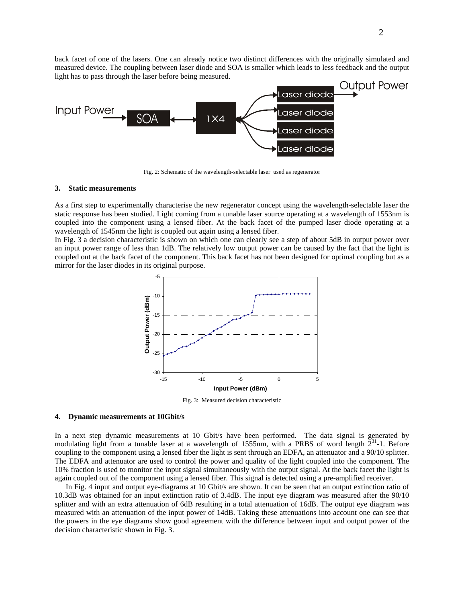back facet of one of the lasers. One can already notice two distinct differences with the originally simulated and measured device. The coupling between laser diode and SOA is smaller which leads to less feedback and the output light has to pass through the laser before being measured.



Fig. 2: Schematic of the wavelength-selectable laser used as regenerator

## **3. Static measurements**

As a first step to experimentally characterise the new regenerator concept using the wavelength-selectable laser the static response has been studied. Light coming from a tunable laser source operating at a wavelength of 1553nm is coupled into the component using a lensed fiber. At the back facet of the pumped laser diode operating at a wavelength of 1545nm the light is coupled out again using a lensed fiber.

In Fig. 3 a decision characteristic is shown on which one can clearly see a step of about 5dB in output power over an input power range of less than 1dB. The relatively low output power can be caused by the fact that the light is coupled out at the back facet of the component. This back facet has not been designed for optimal coupling but as a mirror for the laser diodes in its original purpose.



Fig. 3: Measured decision characteristic

### **4. Dynamic measurements at 10Gbit/s**

In a next step dynamic measurements at 10 Gbit/s have been performed. The data signal is generated by modulating light from a tunable laser at a wavelength of 1555nm, with a PRBS of word length  $2^{31}$ -1. Before coupling to the component using a lensed fiber the light is sent through an EDFA, an attenuator and a 90/10 splitter. The EDFA and attenuator are used to control the power and quality of the light coupled into the component. The 10% fraction is used to monitor the input signal simultaneously with the output signal. At the back facet the light is again coupled out of the component using a lensed fiber. This signal is detected using a pre-amplified receiver.

In Fig. 4 input and output eye-diagrams at 10 Gbit/s are shown. It can be seen that an output extinction ratio of 10.3dB was obtained for an input extinction ratio of 3.4dB. The input eye diagram was measured after the 90/10 splitter and with an extra attenuation of 6dB resulting in a total attenuation of 16dB. The output eye diagram was measured with an attenuation of the input power of 14dB. Taking these attenuations into account one can see that the powers in the eye diagrams show good agreement with the difference between input and output power of the decision characteristic shown in Fig. 3.